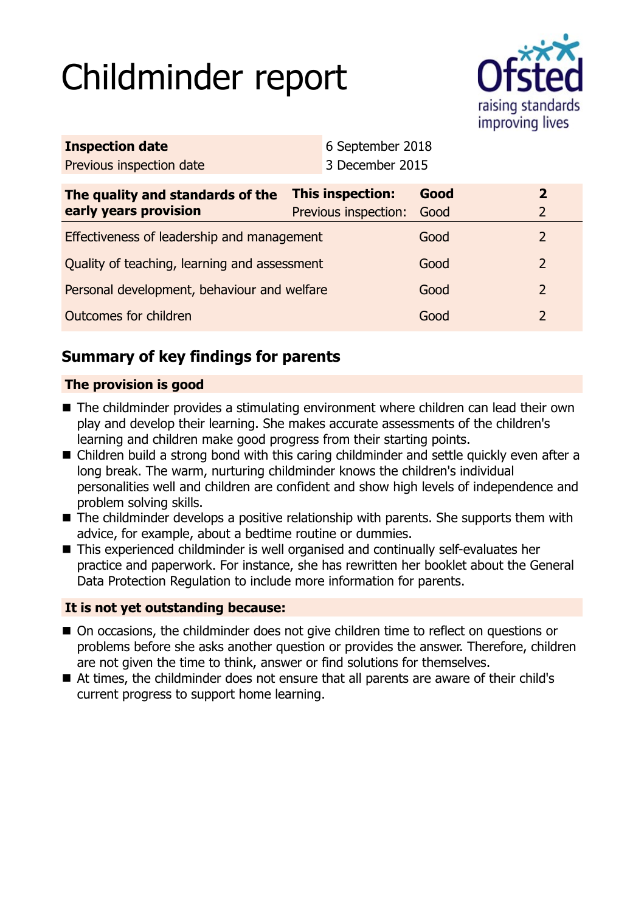# Childminder report



| <b>Inspection date</b>                       |  | 6 September 2018     |      |                |
|----------------------------------------------|--|----------------------|------|----------------|
| Previous inspection date                     |  | 3 December 2015      |      |                |
| The quality and standards of the             |  | This inspection:     | Good | $\mathbf{2}$   |
| early years provision                        |  | Previous inspection: | Good |                |
| Effectiveness of leadership and management   |  |                      | Good | $\overline{2}$ |
| Quality of teaching, learning and assessment |  |                      | Good | 2              |
| Personal development, behaviour and welfare  |  |                      | Good | 2              |
| Outcomes for children                        |  |                      | Good | 2              |
|                                              |  |                      |      |                |

# **Summary of key findings for parents**

# **The provision is good**

- The childminder provides a stimulating environment where children can lead their own play and develop their learning. She makes accurate assessments of the children's learning and children make good progress from their starting points.
- Children build a strong bond with this caring childminder and settle quickly even after a long break. The warm, nurturing childminder knows the children's individual personalities well and children are confident and show high levels of independence and problem solving skills.
- $\blacksquare$  The childminder develops a positive relationship with parents. She supports them with advice, for example, about a bedtime routine or dummies.
- This experienced childminder is well organised and continually self-evaluates her practice and paperwork. For instance, she has rewritten her booklet about the General Data Protection Regulation to include more information for parents.

## **It is not yet outstanding because:**

- On occasions, the childminder does not give children time to reflect on questions or problems before she asks another question or provides the answer. Therefore, children are not given the time to think, answer or find solutions for themselves.
- At times, the childminder does not ensure that all parents are aware of their child's current progress to support home learning.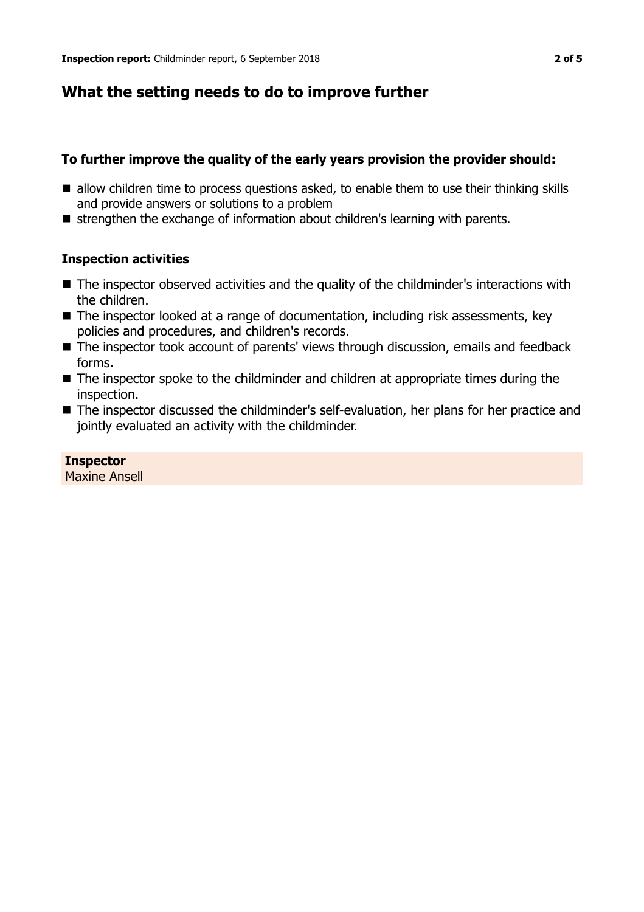# **What the setting needs to do to improve further**

## **To further improve the quality of the early years provision the provider should:**

- $\blacksquare$  allow children time to process questions asked, to enable them to use their thinking skills and provide answers or solutions to a problem
- strengthen the exchange of information about children's learning with parents.

## **Inspection activities**

- The inspector observed activities and the quality of the childminder's interactions with the children.
- The inspector looked at a range of documentation, including risk assessments, key policies and procedures, and children's records.
- The inspector took account of parents' views through discussion, emails and feedback forms.
- $\blacksquare$  The inspector spoke to the childminder and children at appropriate times during the inspection.
- The inspector discussed the childminder's self-evaluation, her plans for her practice and jointly evaluated an activity with the childminder.

# **Inspector**

Maxine Ansell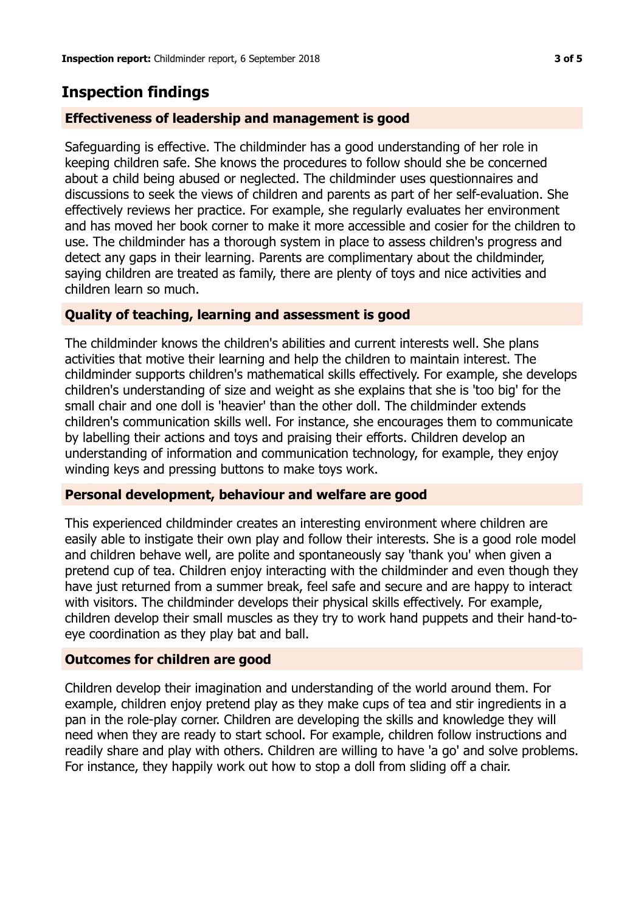# **Inspection findings**

### **Effectiveness of leadership and management is good**

Safeguarding is effective. The childminder has a good understanding of her role in keeping children safe. She knows the procedures to follow should she be concerned about a child being abused or neglected. The childminder uses questionnaires and discussions to seek the views of children and parents as part of her self-evaluation. She effectively reviews her practice. For example, she regularly evaluates her environment and has moved her book corner to make it more accessible and cosier for the children to use. The childminder has a thorough system in place to assess children's progress and detect any gaps in their learning. Parents are complimentary about the childminder, saying children are treated as family, there are plenty of toys and nice activities and children learn so much.

### **Quality of teaching, learning and assessment is good**

The childminder knows the children's abilities and current interests well. She plans activities that motive their learning and help the children to maintain interest. The childminder supports children's mathematical skills effectively. For example, she develops children's understanding of size and weight as she explains that she is 'too big' for the small chair and one doll is 'heavier' than the other doll. The childminder extends children's communication skills well. For instance, she encourages them to communicate by labelling their actions and toys and praising their efforts. Children develop an understanding of information and communication technology, for example, they enjoy winding keys and pressing buttons to make toys work.

#### **Personal development, behaviour and welfare are good**

This experienced childminder creates an interesting environment where children are easily able to instigate their own play and follow their interests. She is a good role model and children behave well, are polite and spontaneously say 'thank you' when given a pretend cup of tea. Children enjoy interacting with the childminder and even though they have just returned from a summer break, feel safe and secure and are happy to interact with visitors. The childminder develops their physical skills effectively. For example, children develop their small muscles as they try to work hand puppets and their hand-toeye coordination as they play bat and ball.

#### **Outcomes for children are good**

Children develop their imagination and understanding of the world around them. For example, children enjoy pretend play as they make cups of tea and stir ingredients in a pan in the role-play corner. Children are developing the skills and knowledge they will need when they are ready to start school. For example, children follow instructions and readily share and play with others. Children are willing to have 'a go' and solve problems. For instance, they happily work out how to stop a doll from sliding off a chair.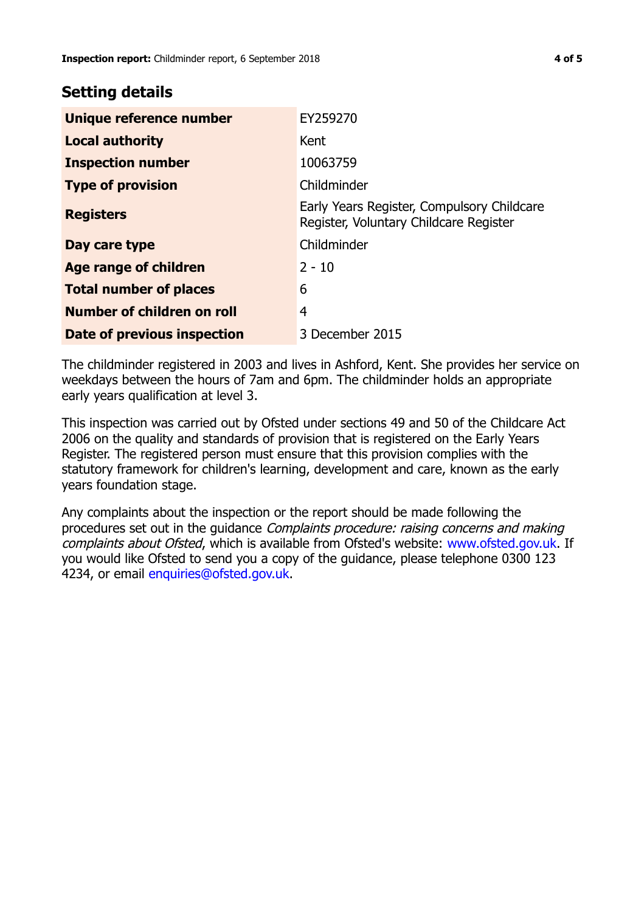# **Setting details**

| Unique reference number       | EY259270                                                                             |
|-------------------------------|--------------------------------------------------------------------------------------|
| <b>Local authority</b>        | Kent                                                                                 |
| <b>Inspection number</b>      | 10063759                                                                             |
| <b>Type of provision</b>      | Childminder                                                                          |
| <b>Registers</b>              | Early Years Register, Compulsory Childcare<br>Register, Voluntary Childcare Register |
| Day care type                 | Childminder                                                                          |
| Age range of children         | $2 - 10$                                                                             |
| <b>Total number of places</b> | 6                                                                                    |
| Number of children on roll    | 4                                                                                    |
| Date of previous inspection   | 3 December 2015                                                                      |

The childminder registered in 2003 and lives in Ashford, Kent. She provides her service on weekdays between the hours of 7am and 6pm. The childminder holds an appropriate early years qualification at level 3.

This inspection was carried out by Ofsted under sections 49 and 50 of the Childcare Act 2006 on the quality and standards of provision that is registered on the Early Years Register. The registered person must ensure that this provision complies with the statutory framework for children's learning, development and care, known as the early years foundation stage.

Any complaints about the inspection or the report should be made following the procedures set out in the guidance Complaints procedure: raising concerns and making complaints about Ofsted, which is available from Ofsted's website: www.ofsted.gov.uk. If you would like Ofsted to send you a copy of the guidance, please telephone 0300 123 4234, or email [enquiries@ofsted.gov.uk.](mailto:enquiries@ofsted.gov.uk)